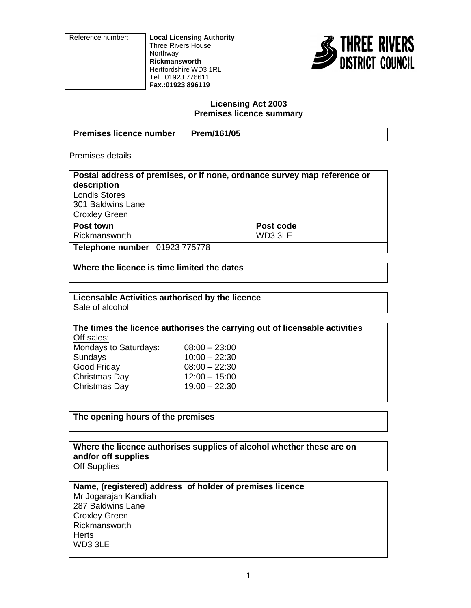Reference number: **Local Licensing Authority** Three Rivers House **Northway Rickmansworth** Hertfordshire WD3 1RL Tel.: 01923 776611 **Fax.:01923 896119**



#### **Licensing Act 2003 Premises licence summary**

| Premises licence number | Prem/161/05 |
|-------------------------|-------------|

Premises details

| Postal address of premises, or if none, ordnance survey map reference or |           |  |
|--------------------------------------------------------------------------|-----------|--|
| description                                                              |           |  |
| <b>Londis Stores</b>                                                     |           |  |
| 301 Baldwins Lane                                                        |           |  |
| <b>Croxley Green</b>                                                     |           |  |
| Post town                                                                | Post code |  |
| Rickmansworth                                                            | WD3 3LE   |  |
| Telephone number 01923 775778                                            |           |  |

**Where the licence is time limited the dates**

**Licensable Activities authorised by the licence** Sale of alcohol

| The times the licence authorises the carrying out of licensable activities |                 |  |
|----------------------------------------------------------------------------|-----------------|--|
| Off sales:                                                                 |                 |  |
| Mondays to Saturdays:                                                      | $08:00 - 23:00$ |  |
| Sundays                                                                    | $10:00 - 22:30$ |  |
| Good Friday                                                                | $08:00 - 22:30$ |  |
| Christmas Day                                                              | $12:00 - 15:00$ |  |
| Christmas Day                                                              | $19:00 - 22:30$ |  |
|                                                                            |                 |  |

**The opening hours of the premises**

**Where the licence authorises supplies of alcohol whether these are on and/or off supplies** Off Supplies

**Name, (registered) address of holder of premises licence**

Mr Jogarajah Kandiah 287 Baldwins Lane Croxley Green Rickmansworth **Herts** WD3 3LE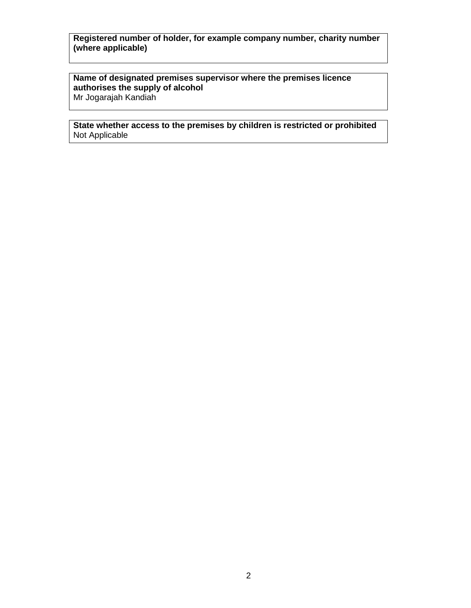**Registered number of holder, for example company number, charity number (where applicable)**

**Name of designated premises supervisor where the premises licence authorises the supply of alcohol** Mr Jogarajah Kandiah

**State whether access to the premises by children is restricted or prohibited** Not Applicable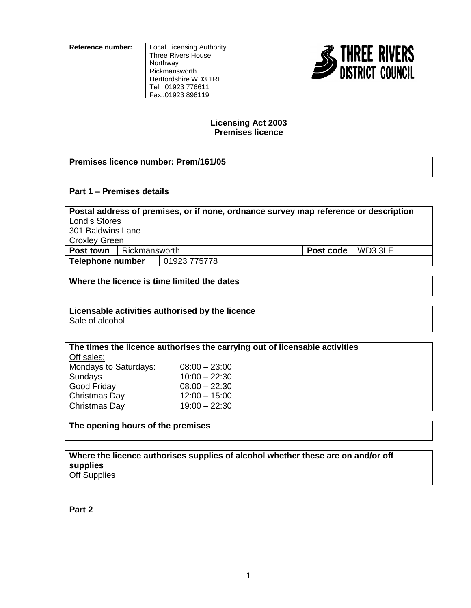**Reference number:** Local Licensing Authority Three Rivers House Northway Rickmansworth Hertfordshire WD3 1RL Tel.: 01923 776611 Fax.:01923 896119



### **Licensing Act 2003 Premises licence**

## **Premises licence number: Prem/161/05**

## **Part 1 – Premises details**

|                      |                                  | Postal address of premises, or if none, ordnance survey map reference or description |                     |  |
|----------------------|----------------------------------|--------------------------------------------------------------------------------------|---------------------|--|
| <b>Londis Stores</b> |                                  |                                                                                      |                     |  |
| 301 Baldwins Lane    |                                  |                                                                                      |                     |  |
| <b>Croxley Green</b> |                                  |                                                                                      |                     |  |
|                      | <b>Post town</b>   Rickmansworth |                                                                                      | Post code   WD3 3LE |  |
| Telephone number     |                                  | 01923 775778                                                                         |                     |  |
|                      |                                  |                                                                                      |                     |  |

**Where the licence is time limited the dates**

**Licensable activities authorised by the licence** Sale of alcohol

| The times the licence authorises the carrying out of licensable activities |                 |  |
|----------------------------------------------------------------------------|-----------------|--|
| Off sales:                                                                 |                 |  |
| Mondays to Saturdays:                                                      | $08:00 - 23:00$ |  |
| Sundays                                                                    | $10:00 - 22:30$ |  |
| Good Friday                                                                | $08:00 - 22:30$ |  |
| Christmas Day                                                              | $12:00 - 15:00$ |  |
| Christmas Day                                                              | $19:00 - 22:30$ |  |
|                                                                            |                 |  |

# **The opening hours of the premises**

**Where the licence authorises supplies of alcohol whether these are on and/or off supplies** Off Supplies

**Part 2**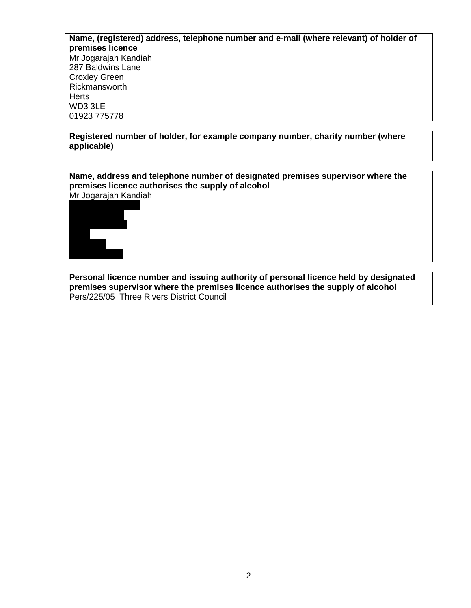**Name, (registered) address, telephone number and e-mail (where relevant) of holder of premises licence** Mr Jogarajah Kandiah 287 Baldwins Lane Croxley Green **Rickmansworth Herts** WD3 3LE 01923 775778

### **Registered number of holder, for example company number, charity number (where applicable)**

**Name, address and telephone number of designated premises supervisor where the premises licence authorises the supply of alcohol**



**Personal licence number and issuing authority of personal licence held by designated premises supervisor where the premises licence authorises the supply of alcohol** Pers/225/05 Three Rivers District Council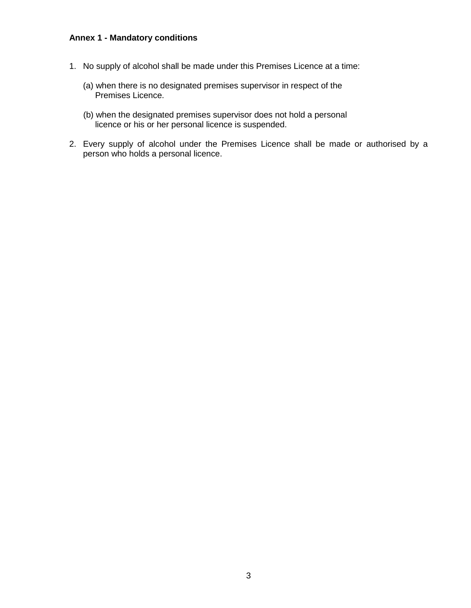## **Annex 1 - Mandatory conditions**

- 1. No supply of alcohol shall be made under this Premises Licence at a time:
	- (a) when there is no designated premises supervisor in respect of the Premises Licence.
	- (b) when the designated premises supervisor does not hold a personal licence or his or her personal licence is suspended.
- 2. Every supply of alcohol under the Premises Licence shall be made or authorised by a person who holds a personal licence.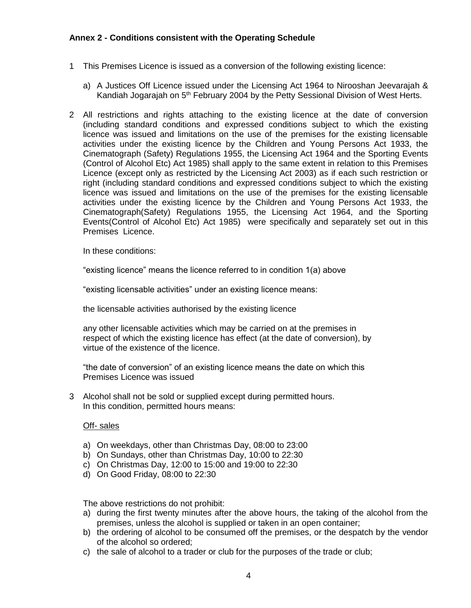## **Annex 2 - Conditions consistent with the Operating Schedule**

- 1 This Premises Licence is issued as a conversion of the following existing licence:
	- a) A Justices Off Licence issued under the Licensing Act 1964 to Nirooshan Jeevarajah & Kandiah Jogarajah on 5<sup>th</sup> February 2004 by the Petty Sessional Division of West Herts.
- 2 All restrictions and rights attaching to the existing licence at the date of conversion (including standard conditions and expressed conditions subject to which the existing licence was issued and limitations on the use of the premises for the existing licensable activities under the existing licence by the Children and Young Persons Act 1933, the Cinematograph (Safety) Regulations 1955, the Licensing Act 1964 and the Sporting Events (Control of Alcohol Etc) Act 1985) shall apply to the same extent in relation to this Premises Licence (except only as restricted by the Licensing Act 2003) as if each such restriction or right (including standard conditions and expressed conditions subject to which the existing licence was issued and limitations on the use of the premises for the existing licensable activities under the existing licence by the Children and Young Persons Act 1933, the Cinematograph(Safety) Regulations 1955, the Licensing Act 1964, and the Sporting Events(Control of Alcohol Etc) Act 1985) were specifically and separately set out in this Premises Licence.

In these conditions:

"existing licence" means the licence referred to in condition 1(a) above

"existing licensable activities" under an existing licence means:

the licensable activities authorised by the existing licence

any other licensable activities which may be carried on at the premises in respect of which the existing licence has effect (at the date of conversion), by virtue of the existence of the licence.

"the date of conversion" of an existing licence means the date on which this Premises Licence was issued

3 Alcohol shall not be sold or supplied except during permitted hours. In this condition, permitted hours means:

#### Off- sales

- a) On weekdays, other than Christmas Day, 08:00 to 23:00
- b) On Sundays, other than Christmas Day, 10:00 to 22:30
- c) On Christmas Day, 12:00 to 15:00 and 19:00 to 22:30
- d) On Good Friday, 08:00 to 22:30

The above restrictions do not prohibit:

- a) during the first twenty minutes after the above hours, the taking of the alcohol from the premises, unless the alcohol is supplied or taken in an open container;
- b) the ordering of alcohol to be consumed off the premises, or the despatch by the vendor of the alcohol so ordered;
- c) the sale of alcohol to a trader or club for the purposes of the trade or club;